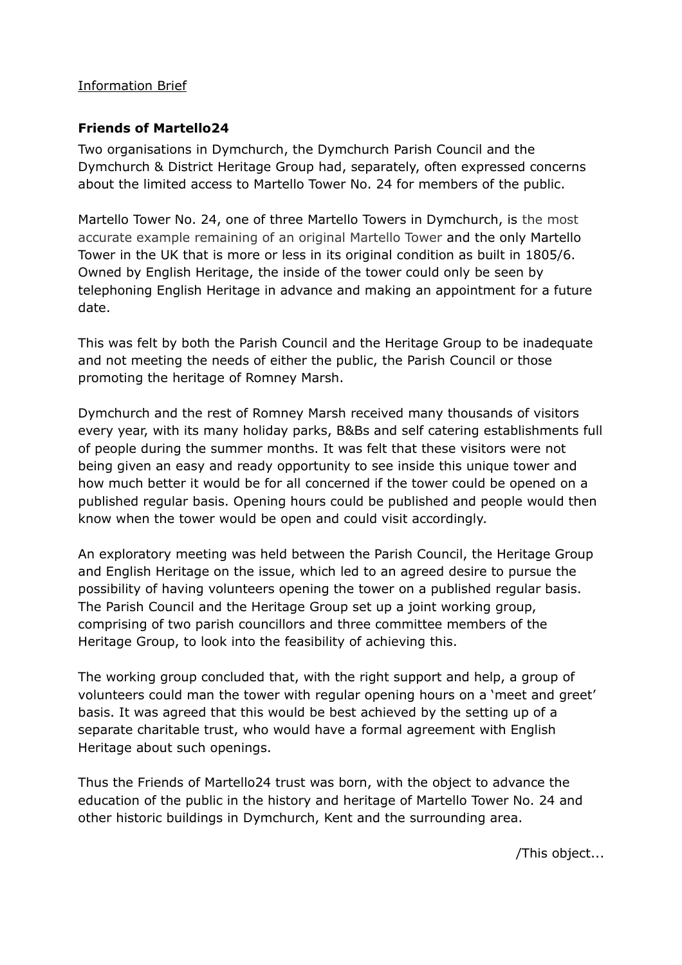## Information Brief

## **Friends of Martello24**

Two organisations in Dymchurch, the Dymchurch Parish Council and the Dymchurch & District Heritage Group had, separately, often expressed concerns about the limited access to Martello Tower No. 24 for members of the public.

Martello Tower No. 24, one of three Martello Towers in Dymchurch, is the most accurate example remaining of an original Martello Tower and the only Martello Tower in the UK that is more or less in its original condition as built in 1805/6. Owned by English Heritage, the inside of the tower could only be seen by telephoning English Heritage in advance and making an appointment for a future date.

This was felt by both the Parish Council and the Heritage Group to be inadequate and not meeting the needs of either the public, the Parish Council or those promoting the heritage of Romney Marsh.

Dymchurch and the rest of Romney Marsh received many thousands of visitors every year, with its many holiday parks, B&Bs and self catering establishments full of people during the summer months. It was felt that these visitors were not being given an easy and ready opportunity to see inside this unique tower and how much better it would be for all concerned if the tower could be opened on a published regular basis. Opening hours could be published and people would then know when the tower would be open and could visit accordingly.

An exploratory meeting was held between the Parish Council, the Heritage Group and English Heritage on the issue, which led to an agreed desire to pursue the possibility of having volunteers opening the tower on a published regular basis. The Parish Council and the Heritage Group set up a joint working group, comprising of two parish councillors and three committee members of the Heritage Group, to look into the feasibility of achieving this.

The working group concluded that, with the right support and help, a group of volunteers could man the tower with regular opening hours on a 'meet and greet' basis. It was agreed that this would be best achieved by the setting up of a separate charitable trust, who would have a formal agreement with English Heritage about such openings.

Thus the Friends of Martello24 trust was born, with the object to advance the education of the public in the history and heritage of Martello Tower No. 24 and other historic buildings in Dymchurch, Kent and the surrounding area.

/This object...